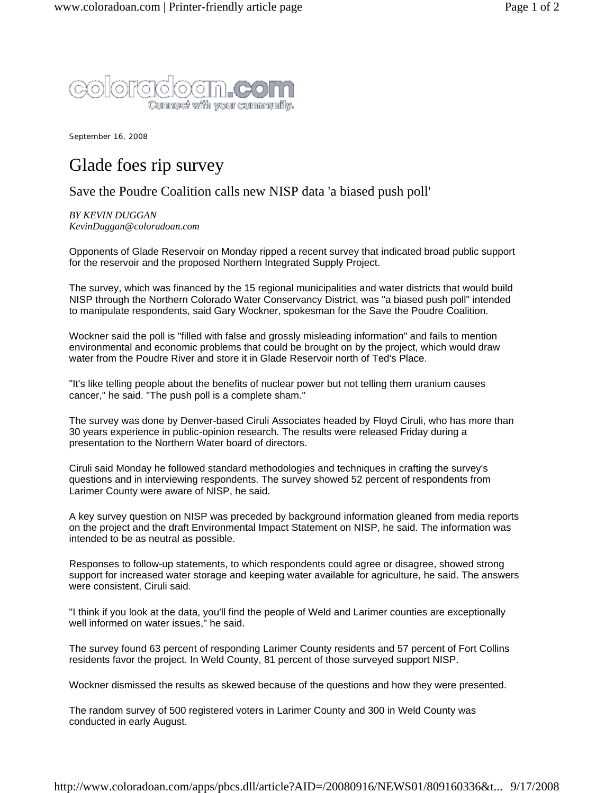

September 16, 2008

## Glade foes rip survey

## Save the Poudre Coalition calls new NISP data 'a biased push poll'

*BY KEVIN DUGGAN KevinDuggan@coloradoan.com*

Opponents of Glade Reservoir on Monday ripped a recent survey that indicated broad public support for the reservoir and the proposed Northern Integrated Supply Project.

The survey, which was financed by the 15 regional municipalities and water districts that would build NISP through the Northern Colorado Water Conservancy District, was "a biased push poll" intended to manipulate respondents, said Gary Wockner, spokesman for the Save the Poudre Coalition.

Wockner said the poll is "filled with false and grossly misleading information" and fails to mention environmental and economic problems that could be brought on by the project, which would draw water from the Poudre River and store it in Glade Reservoir north of Ted's Place.

"It's like telling people about the benefits of nuclear power but not telling them uranium causes cancer," he said. "The push poll is a complete sham."

The survey was done by Denver-based Ciruli Associates headed by Floyd Ciruli, who has more than 30 years experience in public-opinion research. The results were released Friday during a presentation to the Northern Water board of directors.

Ciruli said Monday he followed standard methodologies and techniques in crafting the survey's questions and in interviewing respondents. The survey showed 52 percent of respondents from Larimer County were aware of NISP, he said.

A key survey question on NISP was preceded by background information gleaned from media reports on the project and the draft Environmental Impact Statement on NISP, he said. The information was intended to be as neutral as possible.

Responses to follow-up statements, to which respondents could agree or disagree, showed strong support for increased water storage and keeping water available for agriculture, he said. The answers were consistent, Ciruli said.

"I think if you look at the data, you'll find the people of Weld and Larimer counties are exceptionally well informed on water issues," he said.

The survey found 63 percent of responding Larimer County residents and 57 percent of Fort Collins residents favor the project. In Weld County, 81 percent of those surveyed support NISP.

Wockner dismissed the results as skewed because of the questions and how they were presented.

The random survey of 500 registered voters in Larimer County and 300 in Weld County was conducted in early August.